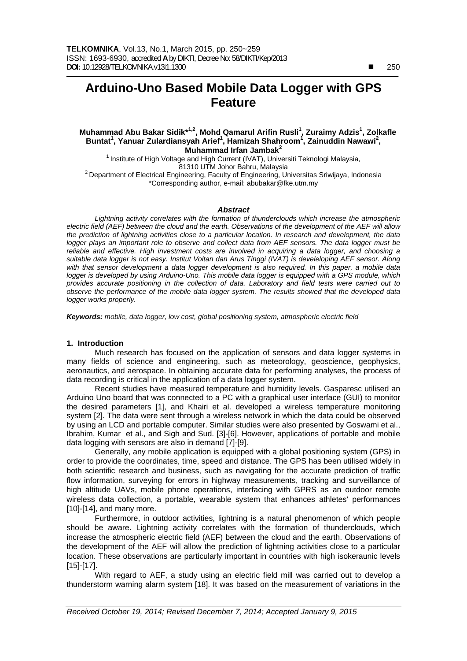$\overline{a}$ 

# **Arduino-Uno Based Mobile Data Logger with GPS Feature**

## Muhammad Abu Bakar Sidik<sup>\*1,2</sup>, Mohd Qamarul Arifin Rusli<sup>1</sup>, Zuraimy Adzis<sup>1</sup>, Zolkafle Buntat<sup>1</sup>, Yanuar Zulardiansyah Arief<sup>1</sup>, Hamizah Shahroom<sup>1</sup>, Zainuddin Nawawi<sup>2</sup>, **Muhammad Irfan Jambak2**

<sup>1</sup> Institute of High Voltage and High Current (IVAT), Universiti Teknologi Malaysia, 81310 UTM Johor Bahru, Malaysia<br><sup>2</sup> Department of Electrical Engineering, Faculty of Engineering, Universitas Sriwijaya, Indonesia \*Corresponding author, e-mail: abubakar@fke.utm.my

#### *Abstract*

*Lightning activity correlates with the formation of thunderclouds which increase the atmospheric electric field (AEF) between the cloud and the earth. Observations of the development of the AEF will allow the prediction of lightning activities close to a particular location. In research and development, the data*  logger plays an important role to observe and collect data from AEF sensors. The data logger must be reliable and effective. High investment costs are involved in acquiring a data logger, and choosing a *suitable data logger is not easy. Institut Voltan dan Arus Tinggi (IVAT) is develeloping AEF sensor. Along with that sensor development a data logger development is also required. In this paper, a mobile data logger is developed by using Arduino-Uno. This mobile data logger is equipped with a GPS module, which provides accurate positioning in the collection of data. Laboratory and field tests were carried out to observe the performance of the mobile data logger system. The results showed that the developed data logger works properly.* 

*Keywords: mobile, data logger, low cost, global positioning system, atmospheric electric field* 

## **1. Introduction**

Much research has focused on the application of sensors and data logger systems in many fields of science and engineering, such as meteorology, geoscience, geophysics, aeronautics, and aerospace. In obtaining accurate data for performing analyses, the process of data recording is critical in the application of a data logger system.

Recent studies have measured temperature and humidity levels. Gasparesc utilised an Arduino Uno board that was connected to a PC with a graphical user interface (GUI) to monitor the desired parameters [1], and Khairi et al. developed a wireless temperature monitoring system [2]. The data were sent through a wireless network in which the data could be observed by using an LCD and portable computer. Similar studies were also presented by Goswami et al., Ibrahim, Kumar et al., and Sigh and Sud. [3]-[6]. However, applications of portable and mobile data logging with sensors are also in demand [7]-[9].

Generally, any mobile application is equipped with a global positioning system (GPS) in order to provide the coordinates, time, speed and distance. The GPS has been utilised widely in both scientific research and business, such as navigating for the accurate prediction of traffic flow information, surveying for errors in highway measurements, tracking and surveillance of high altitude UAVs, mobile phone operations, interfacing with GPRS as an outdoor remote wireless data collection, a portable, wearable system that enhances athletes' performances [10]-[14], and many more.

Furthermore, in outdoor activities, lightning is a natural phenomenon of which people should be aware. Lightning activity correlates with the formation of thunderclouds, which increase the atmospheric electric field (AEF) between the cloud and the earth. Observations of the development of the AEF will allow the prediction of lightning activities close to a particular location. These observations are particularly important in countries with high isokeraunic levels [15]-[17].

With regard to AEF, a study using an electric field mill was carried out to develop a thunderstorm warning alarm system [18]. It was based on the measurement of variations in the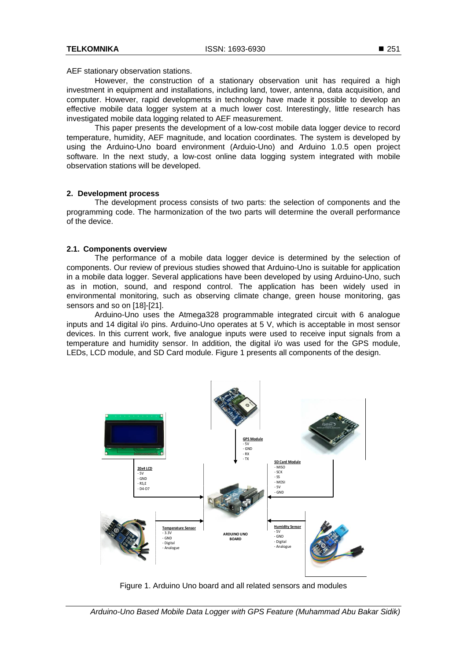AEF stationary observation stations.

However, the construction of a stationary observation unit has required a high investment in equipment and installations, including land, tower, antenna, data acquisition, and computer. However, rapid developments in technology have made it possible to develop an effective mobile data logger system at a much lower cost. Interestingly, little research has investigated mobile data logging related to AEF measurement.

This paper presents the development of a low-cost mobile data logger device to record temperature, humidity, AEF magnitude, and location coordinates. The system is developed by using the Arduino-Uno board environment (Arduio-Uno) and Arduino 1.0.5 open project software. In the next study, a low-cost online data logging system integrated with mobile observation stations will be developed.

## **2. Development process**

The development process consists of two parts: the selection of components and the programming code. The harmonization of the two parts will determine the overall performance of the device.

# **2.1. Components overview**

The performance of a mobile data logger device is determined by the selection of components. Our review of previous studies showed that Arduino-Uno is suitable for application in a mobile data logger. Several applications have been developed by using Arduino-Uno, such as in motion, sound, and respond control. The application has been widely used in environmental monitoring, such as observing climate change, green house monitoring, gas sensors and so on [18]-[21].

Arduino-Uno uses the Atmega328 programmable integrated circuit with 6 analogue inputs and 14 digital i/o pins. Arduino-Uno operates at 5 V, which is acceptable in most sensor devices. In this current work, five analogue inputs were used to receive input signals from a temperature and humidity sensor. In addition, the digital i/o was used for the GPS module, LEDs, LCD module, and SD Card module. Figure 1 presents all components of the design.



Figure 1. Arduino Uno board and all related sensors and modules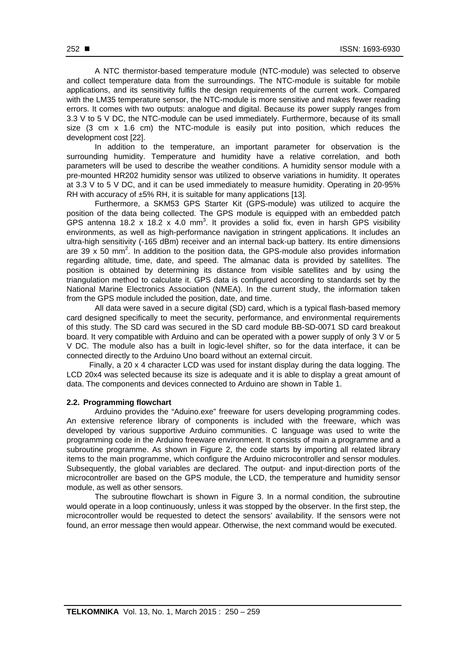A NTC thermistor-based temperature module (NTC-module) was selected to observe and collect temperature data from the surroundings. The NTC-module is suitable for mobile applications, and its sensitivity fulfils the design requirements of the current work. Compared with the LM35 temperature sensor, the NTC-module is more sensitive and makes fewer reading errors. It comes with two outputs: analogue and digital. Because its power supply ranges from 3.3 V to 5 V DC, the NTC-module can be used immediately. Furthermore, because of its small size (3 cm x 1.6 cm) the NTC-module is easily put into position, which reduces the development cost [22].

In addition to the temperature, an important parameter for observation is the surrounding humidity. Temperature and humidity have a relative correlation, and both parameters will be used to describe the weather conditions. A humidity sensor module with a pre-mounted HR202 humidity sensor was utilized to observe variations in humidity. It operates at 3.3 V to 5 V DC, and it can be used immediately to measure humidity. Operating in 20-95% RH with accuracy of ±5% RH, it is suitable for many applications [13].

Furthermore, a SKM53 GPS Starter Kit (GPS-module) was utilized to acquire the position of the data being collected. The GPS module is equipped with an embedded patch GPS antenna 18.2 x 18.2 x 4.0 mm<sup>3</sup>. It provides a solid fix, even in harsh GPS visibility environments, as well as high-performance navigation in stringent applications. It includes an ultra-high sensitivity (-165 dBm) receiver and an internal back-up battery. Its entire dimensions are 39 x 50 mm<sup>2</sup>. In addition to the position data, the GPS-module also provides information regarding altitude, time, date, and speed. The almanac data is provided by satellites. The position is obtained by determining its distance from visible satellites and by using the triangulation method to calculate it. GPS data is configured according to standards set by the National Marine Electronics Association (NMEA). In the current study, the information taken from the GPS module included the position, date, and time.

All data were saved in a secure digital (SD) card, which is a typical flash-based memory card designed specifically to meet the security, performance, and environmental requirements of this study. The SD card was secured in the SD card module BB-SD-0071 SD card breakout board. It very compatible with Arduino and can be operated with a power supply of only 3 V or 5 V DC. The module also has a built in logic-level shifter, so for the data interface, it can be connected directly to the Arduino Uno board without an external circuit.

Finally, a 20 x 4 character LCD was used for instant display during the data logging. The LCD 20x4 was selected because its size is adequate and it is able to display a great amount of data. The components and devices connected to Arduino are shown in Table 1.

## **2.2. Programming flowchart**

Arduino provides the "Aduino.exe" freeware for users developing programming codes. An extensive reference library of components is included with the freeware, which was developed by various supportive Arduino communities. C language was used to write the programming code in the Arduino freeware environment. It consists of main a programme and a subroutine programme. As shown in Figure 2, the code starts by importing all related library items to the main programme, which configure the Arduino microcontroller and sensor modules. Subsequently, the global variables are declared. The output- and input-direction ports of the microcontroller are based on the GPS module, the LCD, the temperature and humidity sensor module, as well as other sensors.

The subroutine flowchart is shown in Figure 3. In a normal condition, the subroutine would operate in a loop continuously, unless it was stopped by the observer. In the first step, the microcontroller would be requested to detect the sensors' availability. If the sensors were not found, an error message then would appear. Otherwise, the next command would be executed.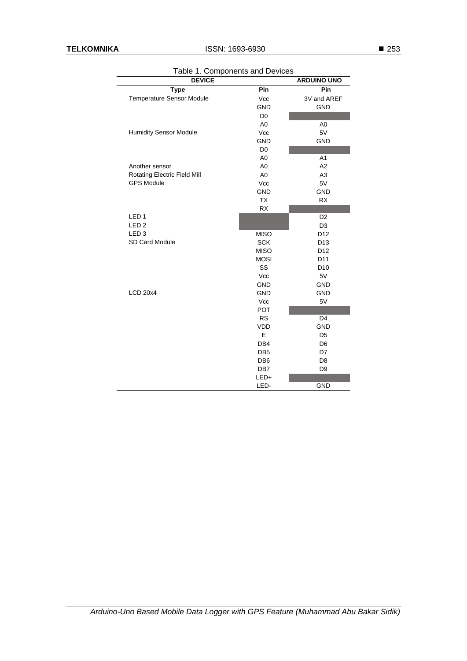| <b>DEVICE</b>                    | <b>ARDUINO UNO</b> |                 |  |
|----------------------------------|--------------------|-----------------|--|
| <b>Type</b>                      | Pin                | Pin             |  |
| <b>Temperature Sensor Module</b> | Vcc                | 3V and AREF     |  |
|                                  | <b>GND</b>         | <b>GND</b>      |  |
|                                  | D <sub>0</sub>     |                 |  |
|                                  | A <sub>0</sub>     | A <sub>0</sub>  |  |
| <b>Humidity Sensor Module</b>    | Vcc                | 5V              |  |
|                                  | <b>GND</b>         | <b>GND</b>      |  |
|                                  | D <sub>0</sub>     |                 |  |
|                                  | A <sub>0</sub>     | A <sub>1</sub>  |  |
| Another sensor                   | A <sub>0</sub>     | A <sub>2</sub>  |  |
| Rotating Electric Field Mill     | A <sub>0</sub>     | A <sub>3</sub>  |  |
| <b>GPS Module</b>                | Vcc                | 5V              |  |
|                                  | <b>GND</b>         | <b>GND</b>      |  |
|                                  | <b>TX</b>          | <b>RX</b>       |  |
|                                  | RX                 |                 |  |
| LED <sub>1</sub>                 |                    | D <sub>2</sub>  |  |
| LED <sub>2</sub>                 |                    | D <sub>3</sub>  |  |
| LED <sub>3</sub>                 | <b>MISO</b>        | D12             |  |
| SD Card Module                   | <b>SCK</b>         | D <sub>13</sub> |  |
|                                  | <b>MISO</b>        | D <sub>12</sub> |  |
|                                  | <b>MOSI</b>        | D <sub>11</sub> |  |
|                                  | SS                 | D <sub>10</sub> |  |
|                                  | Vcc                | 5V              |  |
|                                  | <b>GND</b>         | <b>GND</b>      |  |
| <b>LCD 20x4</b>                  | <b>GND</b>         | <b>GND</b>      |  |
|                                  | Vcc                | 5V              |  |
|                                  | <b>POT</b>         |                 |  |
|                                  | <b>RS</b>          | D <sub>4</sub>  |  |
|                                  | VDD                | <b>GND</b>      |  |
|                                  | E                  | D <sub>5</sub>  |  |
|                                  | DB4                | D <sub>6</sub>  |  |
|                                  | DB <sub>5</sub>    | D7              |  |
|                                  | DB <sub>6</sub>    | D <sub>8</sub>  |  |
|                                  | DB7                | D <sub>9</sub>  |  |
|                                  | LED+               |                 |  |
|                                  | LED-               | <b>GND</b>      |  |

Table 1. Components and Devices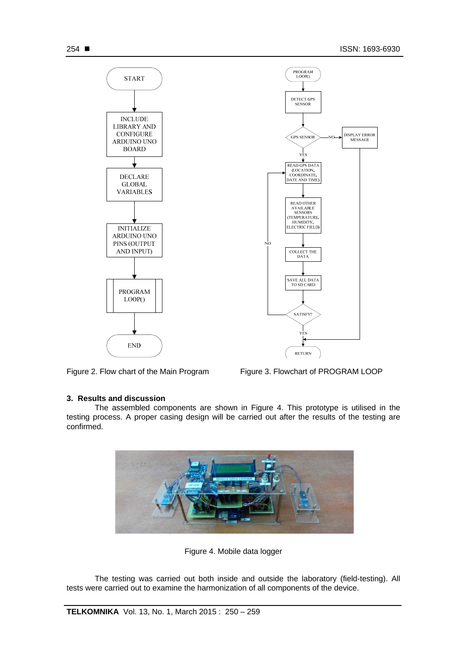

Figure 2. Flow chart of the Main Program Figure 3. Flowchart of PROGRAM LOOP

# **3. Results and discussion**

The assembled components are shown in Figure 4. This prototype is utilised in the testing process. A proper casing design will be carried out after the results of the testing are confirmed.



Figure 4. Mobile data logger

The testing was carried out both inside and outside the laboratory (field-testing). All tests were carried out to examine the harmonization of all components of the device.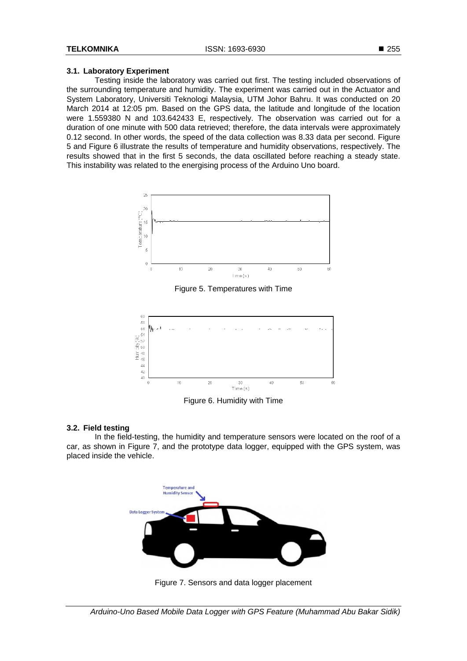## **3.1. Laboratory Experiment**

Testing inside the laboratory was carried out first. The testing included observations of the surrounding temperature and humidity. The experiment was carried out in the Actuator and System Laboratory, Universiti Teknologi Malaysia, UTM Johor Bahru. It was conducted on 20 March 2014 at 12:05 pm. Based on the GPS data, the latitude and longitude of the location were 1.559380 N and 103.642433 E, respectively. The observation was carried out for a duration of one minute with 500 data retrieved; therefore, the data intervals were approximately 0.12 second. In other words, the speed of the data collection was 8.33 data per second. Figure 5 and Figure 6 illustrate the results of temperature and humidity observations, respectively. The results showed that in the first 5 seconds, the data oscillated before reaching a steady state. This instability was related to the energising process of the Arduino Uno board.



Figure 5. Temperatures with Time



Figure 6. Humidity with Time

## **3.2. Field testing**

In the field-testing, the humidity and temperature sensors were located on the roof of a car, as shown in Figure 7, and the prototype data logger, equipped with the GPS system, was placed inside the vehicle.



Figure 7. Sensors and data logger placement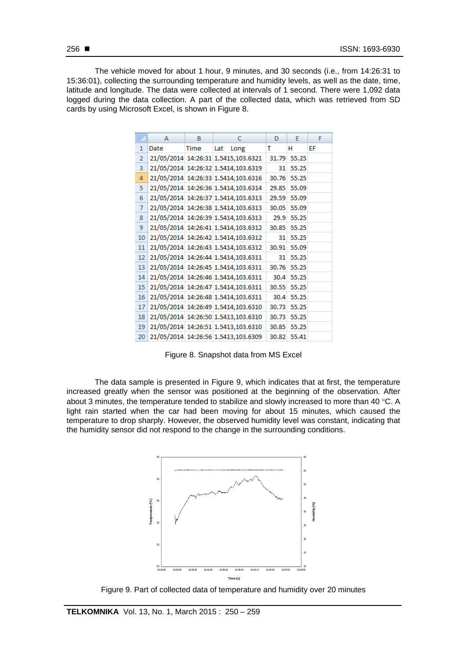The vehicle moved for about 1 hour, 9 minutes, and 30 seconds (i.e., from 14:26:31 to 15:36:01), collecting the surrounding temperature and humidity levels, as well as the date, time, latitude and longitude. The data were collected at intervals of 1 second. There were 1,092 data logged during the data collection. A part of the collected data, which was retrieved from SD cards by using Microsoft Excel, is shown in Figure 8.

|  |                | А    | В    | с                                   | D     | E     | F  |
|--|----------------|------|------|-------------------------------------|-------|-------|----|
|  | 1              | Date | Time | Lat<br>Long                         | т     | н     | EF |
|  | $\overline{2}$ |      |      | 21/05/2014 14:26:31 1.5415,103.6321 | 31.79 | 55.25 |    |
|  | 3              |      |      | 21/05/2014 14:26:32 1.5414,103.6319 | 31    | 55.25 |    |
|  | 4              |      |      | 21/05/2014 14:26:33 1.5414,103.6316 | 30.76 | 55.25 |    |
|  | 5              |      |      | 21/05/2014 14:26:36 1.5414,103.6314 | 29.85 | 55.09 |    |
|  | 6              |      |      | 21/05/2014 14:26:37 1.5414,103.6313 | 29.59 | 55.09 |    |
|  | $\overline{7}$ |      |      | 21/05/2014 14:26:38 1.5414,103.6313 | 30.05 | 55.09 |    |
|  | 8              |      |      | 21/05/2014 14:26:39 1.5414,103.6313 | 29.9  | 55.25 |    |
|  | 9              |      |      | 21/05/2014 14:26:41 1.5414,103.6312 | 30.85 | 55.25 |    |
|  | 10             |      |      | 21/05/2014 14:26:42 1.5414,103.6312 | 31    | 55.25 |    |
|  | 11             |      |      | 21/05/2014 14:26:43 1.5414,103.6312 | 30.91 | 55.09 |    |
|  | 12             |      |      | 21/05/2014 14:26:44 1.5414,103.6311 | 31    | 55.25 |    |
|  | 13             |      |      | 21/05/2014 14:26:45 1.5414,103.6311 | 30.76 | 55.25 |    |
|  | 14             |      |      | 21/05/2014 14:26:46 1.5414,103.6311 | 30.4  | 55.25 |    |
|  | 15             |      |      | 21/05/2014 14:26:47 1.5414,103.6311 | 30.55 | 55.25 |    |
|  | 16             |      |      | 21/05/2014 14:26:48 1.5414,103.6311 | 30.4  | 55.25 |    |
|  | 17             |      |      | 21/05/2014 14:26:49 1.5414,103.6310 | 30.73 | 55.25 |    |
|  | 18             |      |      | 21/05/2014 14:26:50 1.5413,103.6310 | 30.73 | 55.25 |    |
|  | 19             |      |      | 21/05/2014 14:26:51 1.5413,103.6310 | 30.85 | 55.25 |    |
|  | 20             |      |      | 21/05/2014 14:26:56 1.5413,103.6309 | 30.82 | 55.41 |    |

Figure 8. Snapshot data from MS Excel

The data sample is presented in Figure 9, which indicates that at first, the temperature increased greatly when the sensor was positioned at the beginning of the observation. After about 3 minutes, the temperature tended to stabilize and slowly increased to more than 40  $^{\circ}$ C. A light rain started when the car had been moving for about 15 minutes, which caused the temperature to drop sharply. However, the observed humidity level was constant, indicating that the humidity sensor did not respond to the change in the surrounding conditions.



Figure 9. Part of collected data of temperature and humidity over 20 minutes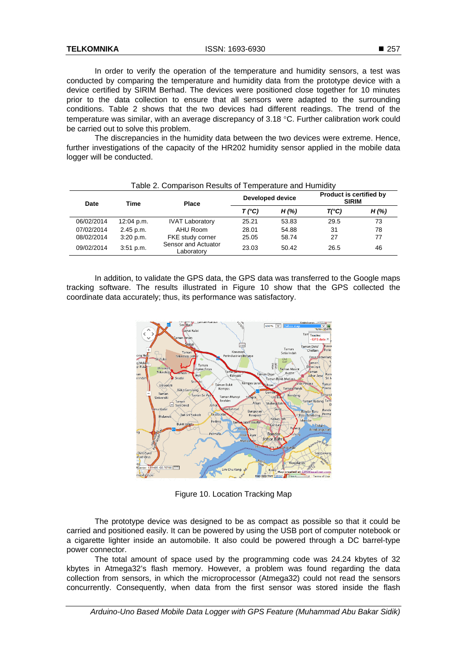In order to verify the operation of the temperature and humidity sensors, a test was conducted by comparing the temperature and humidity data from the prototype device with a device certified by SIRIM Berhad. The devices were positioned close together for 10 minutes prior to the data collection to ensure that all sensors were adapted to the surrounding conditions. Table 2 shows that the two devices had different readings. The trend of the temperature was similar, with an average discrepancy of  $3.18$  °C. Further calibration work could be carried out to solve this problem.

The discrepancies in the humidity data between the two devices were extreme. Hence, further investigations of the capacity of the HR202 humidity sensor applied in the mobile data logger will be conducted.

| rapid L. Oompanoon rioodito or romporaturo and rightmatty |            |                                   |                  |       |                                                |          |  |  |
|-----------------------------------------------------------|------------|-----------------------------------|------------------|-------|------------------------------------------------|----------|--|--|
| Date                                                      | Time       | Place                             | Developed device |       | <b>Product is certified by</b><br><b>SIRIM</b> |          |  |  |
|                                                           |            |                                   | T (°C)           | H(% ) | $T(^{\circ}C)$                                 | $H(\% )$ |  |  |
| 06/02/2014                                                | 12:04 p.m. | <b>IVAT Laboratory</b>            | 25.21            | 53.83 | 29.5                                           | 73       |  |  |
| 07/02/2014                                                | 2.45 p.m.  | AHU Room                          | 28.01            | 54.88 | 31                                             | 78       |  |  |
| 08/02/2014                                                | 3:20 p.m.  | FKE study corner                  | 25.05            | 58.74 | 27                                             | 77       |  |  |
| 09/02/2014                                                | 3:51 p.m.  | Sensor and Actuator<br>Laboratorv | 23.03            | 50.42 | 26.5                                           | 46       |  |  |

# Table 2. Comparison Results of Temperature and Humidity

In addition, to validate the GPS data, the GPS data was transferred to the Google maps tracking software. The results illustrated in Figure 10 show that the GPS collected the coordinate data accurately; thus, its performance was satisfactory.



Figure 10. Location Tracking Map

The prototype device was designed to be as compact as possible so that it could be carried and positioned easily. It can be powered by using the USB port of computer notebook or a cigarette lighter inside an automobile. It also could be powered through a DC barrel-type power connector.

The total amount of space used by the programming code was 24.24 kbytes of 32 kbytes in Atmega32's flash memory. However, a problem was found regarding the data collection from sensors, in which the microprocessor (Atmega32) could not read the sensors concurrently. Consequently, when data from the first sensor was stored inside the flash

*Arduino-Uno Based Mobile Data Logger with GPS Feature (Muhammad Abu Bakar Sidik)*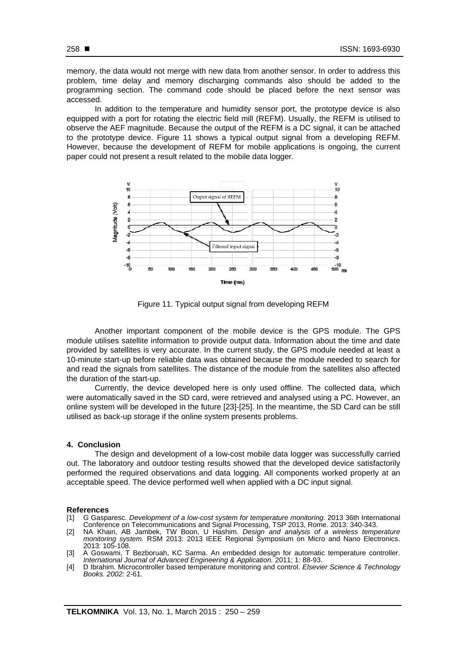memory, the data would not merge with new data from another sensor. In order to address this problem, time delay and memory discharging commands also should be added to the programming section. The command code should be placed before the next sensor was accessed.

In addition to the temperature and humidity sensor port, the prototype device is also equipped with a port for rotating the electric field mill (REFM). Usually, the REFM is utilised to observe the AEF magnitude. Because the output of the REFM is a DC signal, it can be attached to the prototype device. Figure 11 shows a typical output signal from a developing REFM. However, because the development of REFM for mobile applications is ongoing, the current paper could not present a result related to the mobile data logger.



Figure 11. Typical output signal from developing REFM

Another important component of the mobile device is the GPS module. The GPS module utilises satellite information to provide output data. Information about the time and date provided by satellites is very accurate. In the current study, the GPS module needed at least a 10-minute start-up before reliable data was obtained because the module needed to search for and read the signals from satellites. The distance of the module from the satellites also affected the duration of the start-up.

Currently, the device developed here is only used offline. The collected data, which were automatically saved in the SD card, were retrieved and analysed using a PC. However, an online system will be developed in the future [23]-[25]. In the meantime, the SD Card can be still utilised as back-up storage if the online system presents problems.

#### **4. Conclusion**

The design and development of a low-cost mobile data logger was successfully carried out. The laboratory and outdoor testing results showed that the developed device satisfactorily performed the required observations and data logging. All components worked properly at an acceptable speed. The device performed well when applied with a DC input signal.

### **References**

- [1] G Gasparesc. *Development of a low-cost system for temperature monitoring.* 2013 36th International Conference on Telecommunications and Signal Processing, TSP 2013, Rome. 2013: 340-343.
- [2] NA Khairi, AB Jambek, TW Boon, U Hashim. *Design and analysis of a wireless temperature monitoring system.* RSM 2013: 2013 IEEE Regional Symposium on Micro and Nano Electronics. 2013: 105-108.
- [3] A Goswami, T Bezboruah, KC Sarma. An embedded design for automatic temperature controller. *International Journal of Advanced Engineering & Application.* 2011; 1: 88-93.
- [4] D Ibrahim. Microcontroller based temperature monitoring and control. *Elsevier Science & Technology Books. 2002:* 2-61.